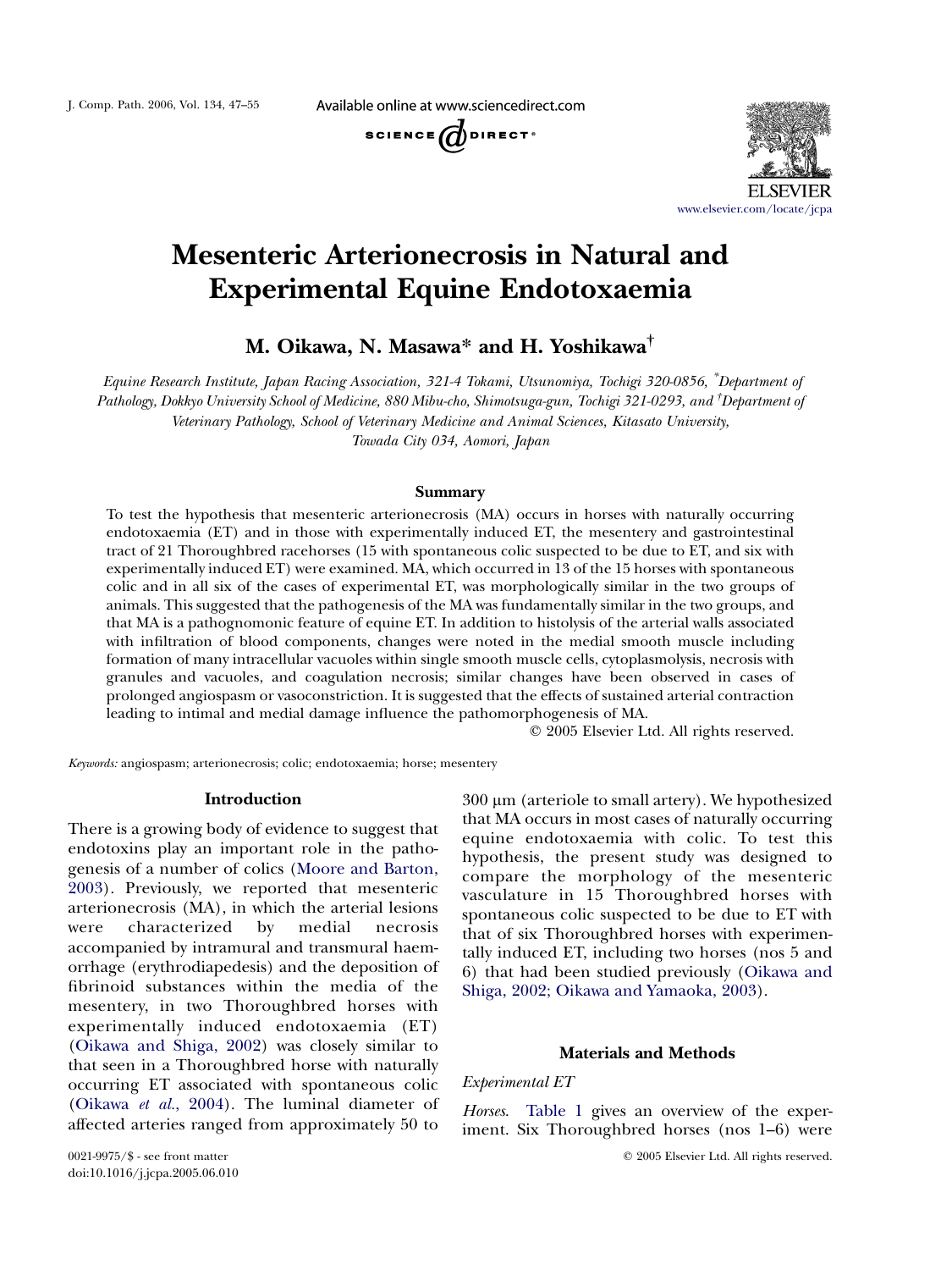Available online at www.sciencedirect.com





# Mesenteric Arterionecrosis in Natural and Experimental Equine Endotoxaemia

M. Oikawa, N. Masawa\* and H. Yoshikawa†

Equine Research Institute, Japan Racing Association, 321-4 Tokami, Utsunomiya, Tochigi 320-0856, \* Department of Pathology, Dokkyo University School of Medicine, 880 Mibu-cho, Shimotsuga-gun, Tochigi 321-0293, and † Department of Veterinary Pathology, School of Veterinary Medicine and Animal Sciences, Kitasato University, Towada City 034, Aomori, Japan

## Summary

To test the hypothesis that mesenteric arterionecrosis (MA) occurs in horses with naturally occurring endotoxaemia (ET) and in those with experimentally induced ET, the mesentery and gastrointestinal tract of 21 Thoroughbred racehorses (15 with spontaneous colic suspected to be due to ET, and six with experimentally induced ET) were examined. MA, which occurred in 13 of the 15 horses with spontaneous colic and in all six of the cases of experimental ET, was morphologically similar in the two groups of animals. This suggested that the pathogenesis of the MA was fundamentally similar in the two groups, and that MA is a pathognomonic feature of equine ET. In addition to histolysis of the arterial walls associated with infiltration of blood components, changes were noted in the medial smooth muscle including formation of many intracellular vacuoles within single smooth muscle cells, cytoplasmolysis, necrosis with granules and vacuoles, and coagulation necrosis; similar changes have been observed in cases of prolonged angiospasm or vasoconstriction. It is suggested that the effects of sustained arterial contraction leading to intimal and medial damage influence the pathomorphogenesis of MA.

 $Q$  2005 Elsevier Ltd. All rights reserved.

Keywords: angiospasm; arterionecrosis; colic; endotoxaemia; horse; mesentery

## Introduction

There is a growing body of evidence to suggest that endotoxins play an important role in the pathogenesis of a number of colics ([Moore and Barton,](#page-8-0) [2003](#page-8-0)). Previously, we reported that mesenteric arterionecrosis (MA), in which the arterial lesions were characterized by medial necrosis accompanied by intramural and transmural haemorrhage (erythrodiapedesis) and the deposition of fibrinoid substances within the media of the mesentery, in two Thoroughbred horses with experimentally induced endotoxaemia (ET) [\(Oikawa and Shiga, 2002](#page-8-0)) was closely similar to that seen in a Thoroughbred horse with naturally occurring ET associated with spontaneous colic [\(Oikawa](#page-8-0) et al., 2004). The luminal diameter of affected arteries ranged from approximately 50 to

 $300 \mu m$  (arteriole to small artery). We hypothesized that MA occurs in most cases of naturally occurring equine endotoxaemia with colic. To test this hypothesis, the present study was designed to compare the morphology of the mesenteric vasculature in 15 Thoroughbred horses with spontaneous colic suspected to be due to ET with that of six Thoroughbred horses with experimentally induced ET, including two horses (nos 5 and 6) that had been studied previously ([Oikawa and](#page-8-0) [Shiga, 2002; Oikawa and Yamaoka, 2003](#page-8-0)).

# Materials and Methods

# Experimental ET

Horses. [Table 1](#page-1-0) gives an overview of the experiment. Six Thoroughbred horses (nos 1–6) were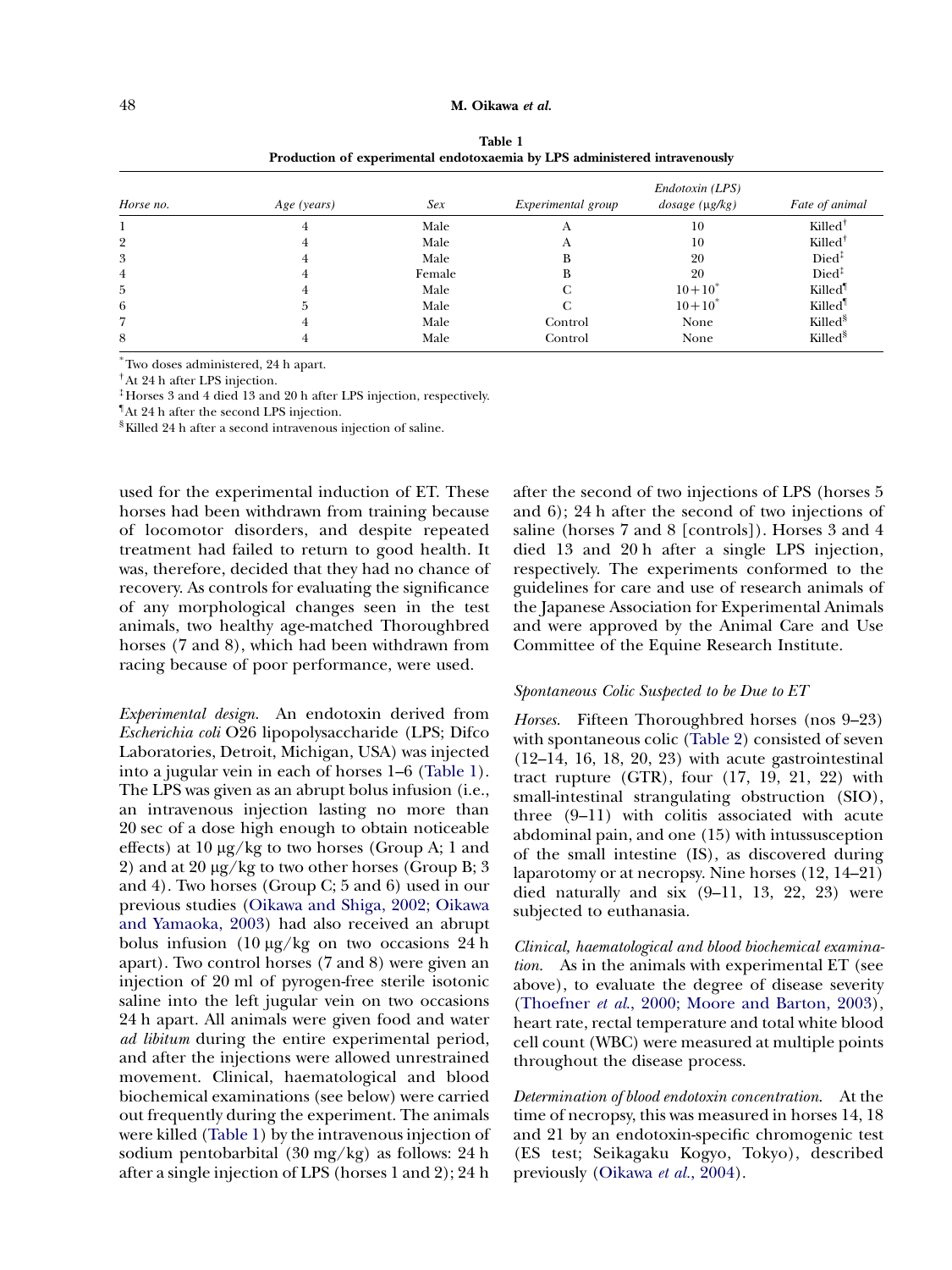<span id="page-1-0"></span>

| Horse no. | Age (years) | Sex    | Experimental group | Endotoxin (LPS)<br>$dosage$ ( $\mu$ g/kg) | Fate of animal      |
|-----------|-------------|--------|--------------------|-------------------------------------------|---------------------|
|           |             | Male   |                    | 10                                        | $Killed^{\dagger}$  |
| 2         |             | Male   |                    | 10                                        | $Killed^{\dagger}$  |
| 3         |             | Male   | в                  | 20                                        | Died <sup>1</sup>   |
| 4         |             | Female | В                  | 20                                        | $Died^{\ddagger}$   |
| 5         |             | Male   |                    | $10+10^*$                                 | Killed <sup>1</sup> |
| 6         | b.          | Male   |                    | $10+10^*$                                 | Killed <sup>1</sup> |
|           |             | Male   | Control            | None                                      | Killed <sup>§</sup> |
| 8         |             | Male   | Control            | None                                      | Killed <sup>8</sup> |

Table 1 Production of experimental endotoxaemia by LPS administered intravenously

\*Two doses administered, 24 h apart.

†At 24 h after LPS injection.

‡ Horses 3 and 4 died 13 and 20 h after LPS injection, respectively.

¶ At 24 h after the second LPS injection.

§Killed 24 h after a second intravenous injection of saline.

used for the experimental induction of ET. These horses had been withdrawn from training because of locomotor disorders, and despite repeated treatment had failed to return to good health. It was, therefore, decided that they had no chance of recovery. As controls for evaluating the significance of any morphological changes seen in the test animals, two healthy age-matched Thoroughbred horses (7 and 8), which had been withdrawn from racing because of poor performance, were used.

Experimental design. An endotoxin derived from Escherichia coli O26 lipopolysaccharide (LPS; Difco Laboratories, Detroit, Michigan, USA) was injected into a jugular vein in each of horses 1–6 (Table 1). The LPS was given as an abrupt bolus infusion (i.e., an intravenous injection lasting no more than 20 sec of a dose high enough to obtain noticeable effects) at  $10 \mu g/kg$  to two horses (Group A; 1 and 2) and at 20  $\mu$ g/kg to two other horses (Group B; 3) and 4). Two horses (Group C; 5 and 6) used in our previous studies ([Oikawa and Shiga, 2002; Oikawa](#page-8-0) [and Yamaoka, 2003\)](#page-8-0) had also received an abrupt bolus infusion  $(10 \mu g/kg)$  on two occasions 24 h apart). Two control horses (7 and 8) were given an injection of 20 ml of pyrogen-free sterile isotonic saline into the left jugular vein on two occasions 24 h apart. All animals were given food and water ad libitum during the entire experimental period, and after the injections were allowed unrestrained movement. Clinical, haematological and blood biochemical examinations (see below) were carried out frequently during the experiment. The animals were killed (Table 1) by the intravenous injection of sodium pentobarbital (30 mg/kg) as follows: 24 h after a single injection of LPS (horses 1 and 2); 24 h after the second of two injections of LPS (horses 5 and 6); 24 h after the second of two injections of saline (horses 7 and 8 [controls]). Horses 3 and 4 died 13 and 20 h after a single LPS injection, respectively. The experiments conformed to the guidelines for care and use of research animals of the Japanese Association for Experimental Animals and were approved by the Animal Care and Use Committee of the Equine Research Institute.

## Spontaneous Colic Suspected to be Due to ET

Horses. Fifteen Thoroughbred horses (nos 9–23) with spontaneous colic [\(Table 2](#page-2-0)) consisted of seven (12–14, 16, 18, 20, 23) with acute gastrointestinal tract rupture (GTR), four (17, 19, 21, 22) with small-intestinal strangulating obstruction (SIO), three (9–11) with colitis associated with acute abdominal pain, and one (15) with intussusception of the small intestine (IS), as discovered during laparotomy or at necropsy. Nine horses (12, 14–21) died naturally and six (9–11, 13, 22, 23) were subjected to euthanasia.

Clinical, haematological and blood biochemical examination. As in the animals with experimental ET (see above), to evaluate the degree of disease severity (Thoefner et al[., 2000; Moore and Barton, 2003](#page-8-0)), heart rate, rectal temperature and total white blood cell count (WBC) were measured at multiple points throughout the disease process.

Determination of blood endotoxin concentration. At the time of necropsy, this was measured in horses 14, 18 and 21 by an endotoxin-specific chromogenic test (ES test; Seikagaku Kogyo, Tokyo), described previously ([Oikawa](#page-8-0) et al., 2004).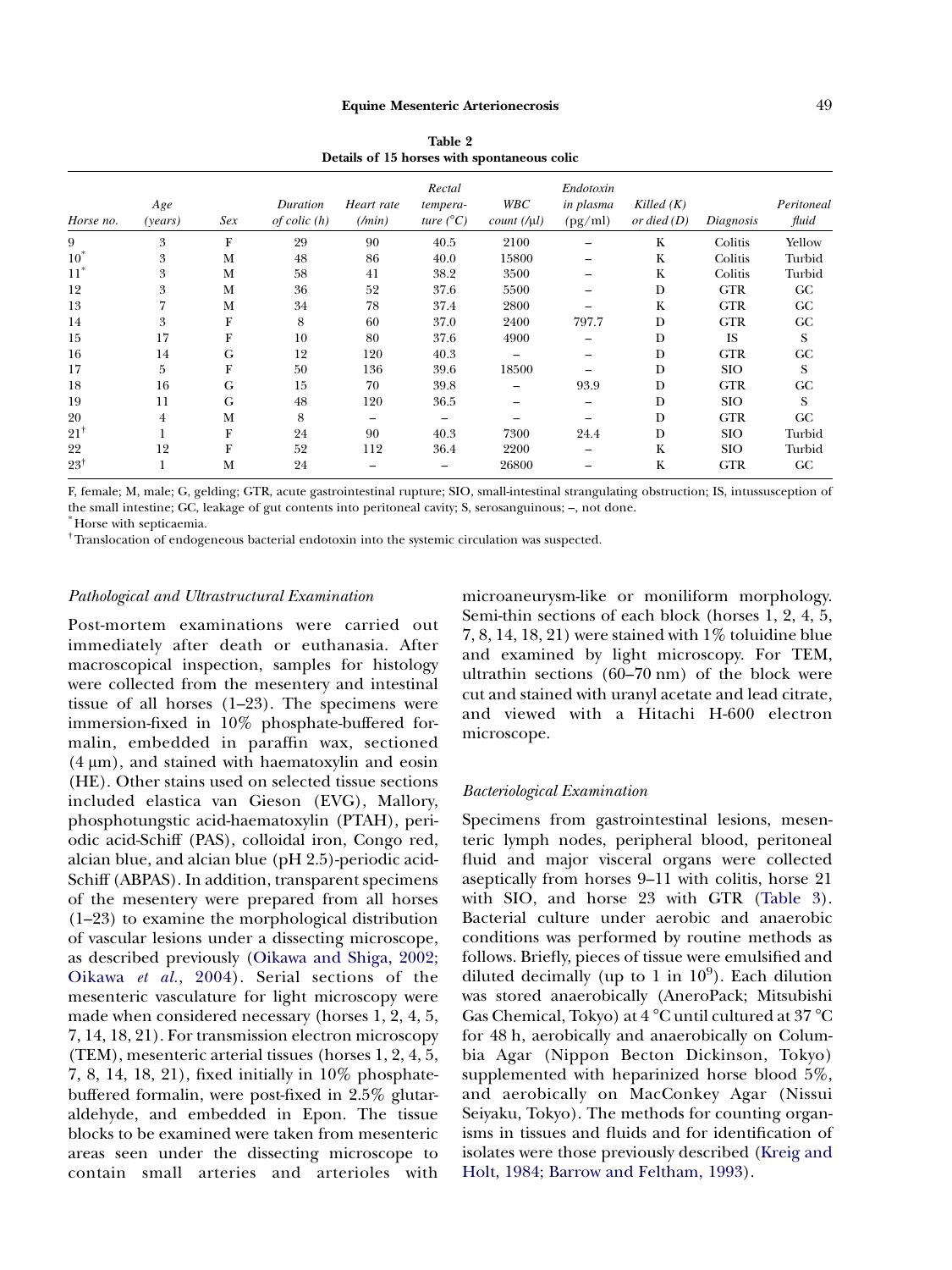<span id="page-2-0"></span>

| Details of 15 horses with spontaneous colic |                |     |                              |                                |                                          |                       |                                   |                               |            |                     |
|---------------------------------------------|----------------|-----|------------------------------|--------------------------------|------------------------------------------|-----------------------|-----------------------------------|-------------------------------|------------|---------------------|
| Horse no.                                   | Age<br>(years) | Sex | Duration<br>$of$ colic $(h)$ | Heart rate<br>$(\textit{min})$ | Rectal<br>tempera-<br>ture $(^{\circ}C)$ | WBC<br>$count(\mu l)$ | Endotoxin<br>in plasma<br>(pg/ml) | Killed $(K)$<br>or died $(D)$ | Diagnosis  | Peritoneal<br>fluid |
| 9                                           | 3              | F   | 29                           | 90                             | 40.5                                     | 2100                  |                                   | K                             | Colitis    | Yellow              |
| $10^*$                                      | 3              | М   | 48                           | 86                             | 40.0                                     | 15800                 |                                   | K                             | Colitis    | Turbid              |
| $11^*$                                      | 3              | M   | 58                           | 41                             | 38.2                                     | 3500                  |                                   | K                             | Colitis    | Turbid              |
| 12                                          | 3              | M   | 36                           | 52                             | 37.6                                     | 5500                  |                                   | D                             | <b>GTR</b> | G C                 |
| 13                                          |                | M   | 34                           | 78                             | 37.4                                     | 2800                  |                                   | $\rm K$                       | <b>GTR</b> | G <sub>C</sub>      |
| 14                                          | 3              | F   | 8                            | 60                             | 37.0                                     | 2400                  | 797.7                             | D                             | <b>GTR</b> | GC                  |
| 15                                          | 17             | F   | 10                           | 80                             | 37.6                                     | 4900                  |                                   | D                             | <b>IS</b>  | S                   |
| 16                                          | 14             | G   | 12                           | 120                            | 40.3                                     |                       |                                   | D                             | <b>GTR</b> | GC                  |
| 17                                          | 5              | F   | 50                           | 136                            | 39.6                                     | 18500                 |                                   | D                             | <b>SIO</b> | S                   |
| 18                                          | 16             | G   | 15                           | 70                             | 39.8                                     |                       | 93.9                              | D                             | <b>GTR</b> | GC                  |
| 19                                          | 11             | G   | 48                           | 120                            | 36.5                                     |                       |                                   | D                             | <b>SIO</b> | S                   |
| 20                                          | 4              | M   | 8                            |                                |                                          |                       |                                   | D                             | <b>GTR</b> | GC                  |
| $21^+$                                      |                | F   | 24                           | 90                             | 40.3                                     | 7300                  | 24.4                              | D                             | <b>SIO</b> | Turbid              |
| 22                                          | 12             | F   | 52                           | 112                            | 36.4                                     | 2200                  |                                   | K                             | <b>SIO</b> | Turbid              |
| $23^{\dagger}$                              | 1              | M   | 24                           |                                |                                          | 26800                 |                                   | K                             | <b>GTR</b> | <b>GC</b>           |

Table 2 Details of 15 horses with spontaneous colic

F, female; M, male; G, gelding; GTR, acute gastrointestinal rupture; SIO, small-intestinal strangulating obstruction; IS, intussusception of the small intestine; GC, leakage of gut contents into peritoneal cavity; S, serosanguinous; –, not done.

\* Horse with septicaemia.

†Translocation of endogeneous bacterial endotoxin into the systemic circulation was suspected.

# Pathological and Ultrastructural Examination

Post-mortem examinations were carried out immediately after death or euthanasia. After macroscopical inspection, samples for histology were collected from the mesentery and intestinal tissue of all horses (1–23). The specimens were immersion-fixed in 10% phosphate-buffered formalin, embedded in paraffin wax, sectioned  $(4 \mu m)$ , and stained with haematoxylin and eosin (HE). Other stains used on selected tissue sections included elastica van Gieson (EVG), Mallory, phosphotungstic acid-haematoxylin (PTAH), periodic acid-Schiff (PAS), colloidal iron, Congo red, alcian blue, and alcian blue (pH 2.5)-periodic acid-Schiff (ABPAS). In addition, transparent specimens of the mesentery were prepared from all horses (1–23) to examine the morphological distribution of vascular lesions under a dissecting microscope, as described previously [\(Oikawa and Shiga, 2002;](#page-8-0) [Oikawa](#page-8-0) et al., 2004). Serial sections of the mesenteric vasculature for light microscopy were made when considered necessary (horses 1, 2, 4, 5, 7, 14, 18, 21). For transmission electron microscopy (TEM), mesenteric arterial tissues (horses 1, 2, 4, 5, 7, 8, 14, 18, 21), fixed initially in 10% phosphatebuffered formalin, were post-fixed in 2.5% glutaraldehyde, and embedded in Epon. The tissue blocks to be examined were taken from mesenteric areas seen under the dissecting microscope to contain small arteries and arterioles with

microaneurysm-like or moniliform morphology. Semi-thin sections of each block (horses 1, 2, 4, 5,  $7, 8, 14, 18, 21$  were stained with  $1\%$  toluidine blue and examined by light microscopy. For TEM, ultrathin sections (60–70 nm) of the block were cut and stained with uranyl acetate and lead citrate, and viewed with a Hitachi H-600 electron microscope.

## Bacteriological Examination

Specimens from gastrointestinal lesions, mesenteric lymph nodes, peripheral blood, peritoneal fluid and major visceral organs were collected aseptically from horses 9–11 with colitis, horse 21 with SIO, and horse 23 with GTR ([Table 3](#page-3-0)). Bacterial culture under aerobic and anaerobic conditions was performed by routine methods as follows. Briefly, pieces of tissue were emulsified and diluted decimally (up to 1 in  $10^9$ ). Each dilution was stored anaerobically (AneroPack; Mitsubishi Gas Chemical, Tokyo) at  $4^{\circ}$ C until cultured at  $37^{\circ}$ C for 48 h, aerobically and anaerobically on Columbia Agar (Nippon Becton Dickinson, Tokyo) supplemented with heparinized horse blood 5%, and aerobically on MacConkey Agar (Nissui Seiyaku, Tokyo). The methods for counting organisms in tissues and fluids and for identification of isolates were those previously described [\(Kreig and](#page-8-0) [Holt, 1984; Barrow and Feltham, 1993\)](#page-8-0).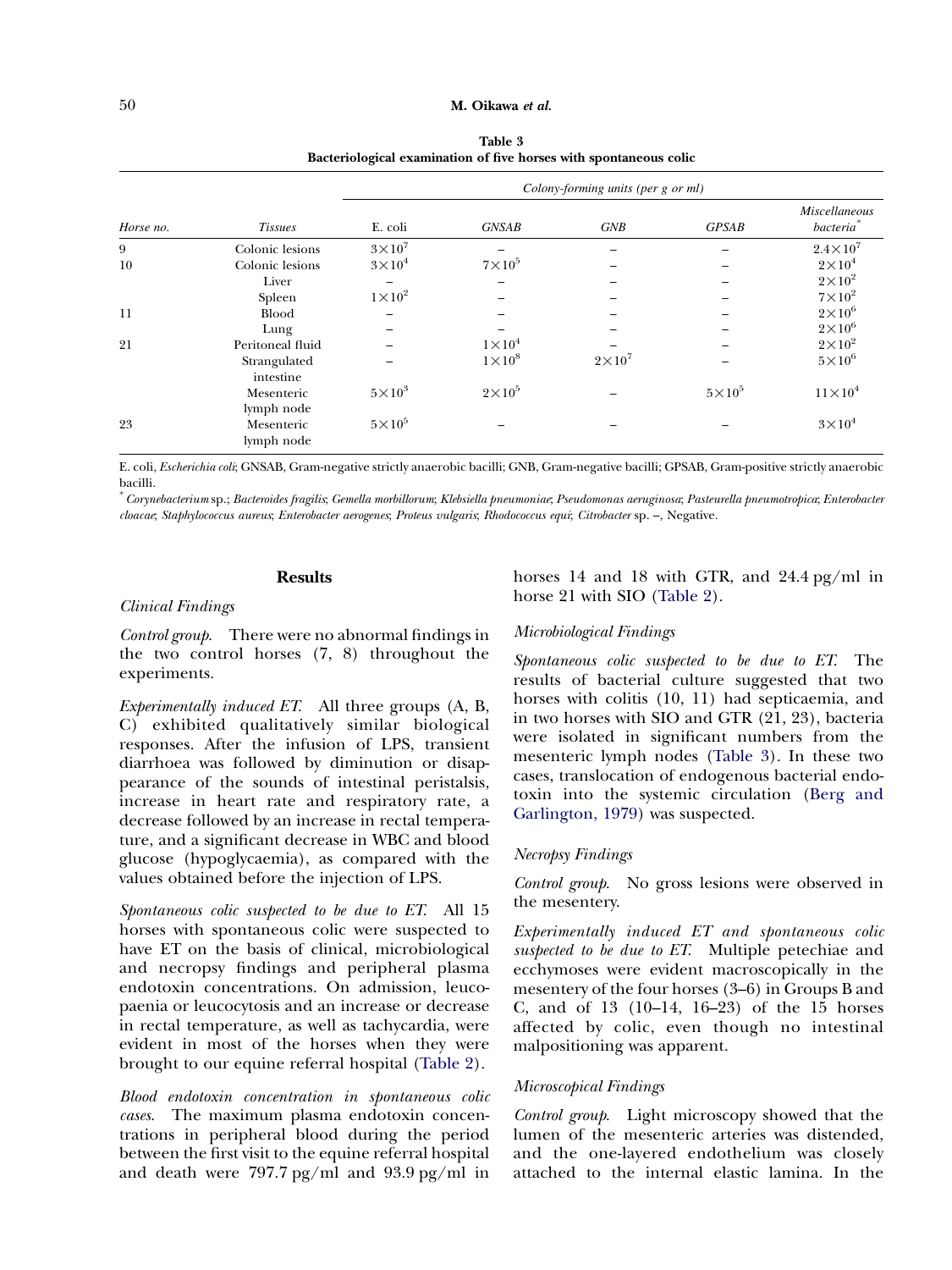Table 3 Bacteriological examination of five horses with spontaneous colic

<span id="page-3-0"></span>

| Horse no. |                           | Colony-forming units (per g or ml) |               |               |               |                                        |  |
|-----------|---------------------------|------------------------------------|---------------|---------------|---------------|----------------------------------------|--|
|           | <i>Tissues</i>            | E. coli                            | <b>GNSAB</b>  | GNB           | <b>GPSAB</b>  | Miscellaneous<br>bacteria <sup>*</sup> |  |
| 9         | Colonic lesions           | $3\times10^7$                      |               |               |               | $2.4\times10^7$                        |  |
| 10        | Colonic lesions           | $3\times10^4$                      | $7\times10^5$ |               |               | $2\times10^4$                          |  |
|           | Liver                     |                                    |               |               |               | $2\times10^2$                          |  |
|           | Spleen                    | $1\times10^2$                      |               |               |               | $7\times10^2$                          |  |
| 11        | <b>Blood</b>              |                                    |               |               |               | $2\times10^6$                          |  |
|           | Lung                      |                                    |               |               |               | $2\times10^6$                          |  |
| 21        | Peritoneal fluid          |                                    | $1\times10^4$ |               |               | $2\times10^2$                          |  |
|           | Strangulated<br>intestine |                                    | $1\times10^8$ | $2\times10^7$ |               | $5\times10^6$                          |  |
|           | Mesenteric<br>lymph node  | $5\times10^3$                      | $2\times10^5$ |               | $5\times10^5$ | $11\times10^4$                         |  |
| 23        | Mesenteric<br>lymph node  | $5\times10^5$                      |               |               |               | $3\times10^4$                          |  |

E. coli, Escherichia coli; GNSAB, Gram-negative strictly anaerobic bacilli; GNB, Gram-negative bacilli; GPSAB, Gram-positive strictly anaerobic bacilli.

\*Corynebacterium sp.; Bacteroides fragilis; Gemella morbillorum; Klebsiella pneumoniae; Pseudomonas aeruginosa; Pasteurella pneumotropica; Enterobacter cloacae; Staphylococcus aureus; Enterobacter aerogenes; Proteus vulgaris; Rhodococcus equi; Citrobacter sp. –, Negative.

# Results

### Clinical Findings

Control group. There were no abnormal findings in the two control horses (7, 8) throughout the experiments.

Experimentally induced ET. All three groups (A, B, C) exhibited qualitatively similar biological responses. After the infusion of LPS, transient diarrhoea was followed by diminution or disappearance of the sounds of intestinal peristalsis, increase in heart rate and respiratory rate, a decrease followed by an increase in rectal temperature, and a significant decrease in WBC and blood glucose (hypoglycaemia), as compared with the values obtained before the injection of LPS.

Spontaneous colic suspected to be due to ET. All 15 horses with spontaneous colic were suspected to have ET on the basis of clinical, microbiological and necropsy findings and peripheral plasma endotoxin concentrations. On admission, leucopaenia or leucocytosis and an increase or decrease in rectal temperature, as well as tachycardia, were evident in most of the horses when they were brought to our equine referral hospital ([Table 2](#page-2-0)).

Blood endotoxin concentration in spontaneous colic cases. The maximum plasma endotoxin concentrations in peripheral blood during the period between the first visit to the equine referral hospital and death were 797.7 pg/ml and 93.9 pg/ml in

horses 14 and 18 with GTR, and 24.4 pg/ml in horse 21 with SIO ([Table 2](#page-2-0)).

# Microbiological Findings

Spontaneous colic suspected to be due to ET. The results of bacterial culture suggested that two horses with colitis (10, 11) had septicaemia, and in two horses with SIO and GTR (21, 23), bacteria were isolated in significant numbers from the mesenteric lymph nodes (Table 3). In these two cases, translocation of endogenous bacterial endotoxin into the systemic circulation ([Berg and](#page-7-0) [Garlington, 1979\)](#page-7-0) was suspected.

# Necropsy Findings

Control group. No gross lesions were observed in the mesentery.

Experimentally induced ET and spontaneous colic suspected to be due to ET. Multiple petechiae and ecchymoses were evident macroscopically in the mesentery of the four horses (3–6) in Groups B and C, and of 13 (10–14, 16–23) of the 15 horses affected by colic, even though no intestinal malpositioning was apparent.

# Microscopical Findings

Control group. Light microscopy showed that the lumen of the mesenteric arteries was distended, and the one-layered endothelium was closely attached to the internal elastic lamina. In the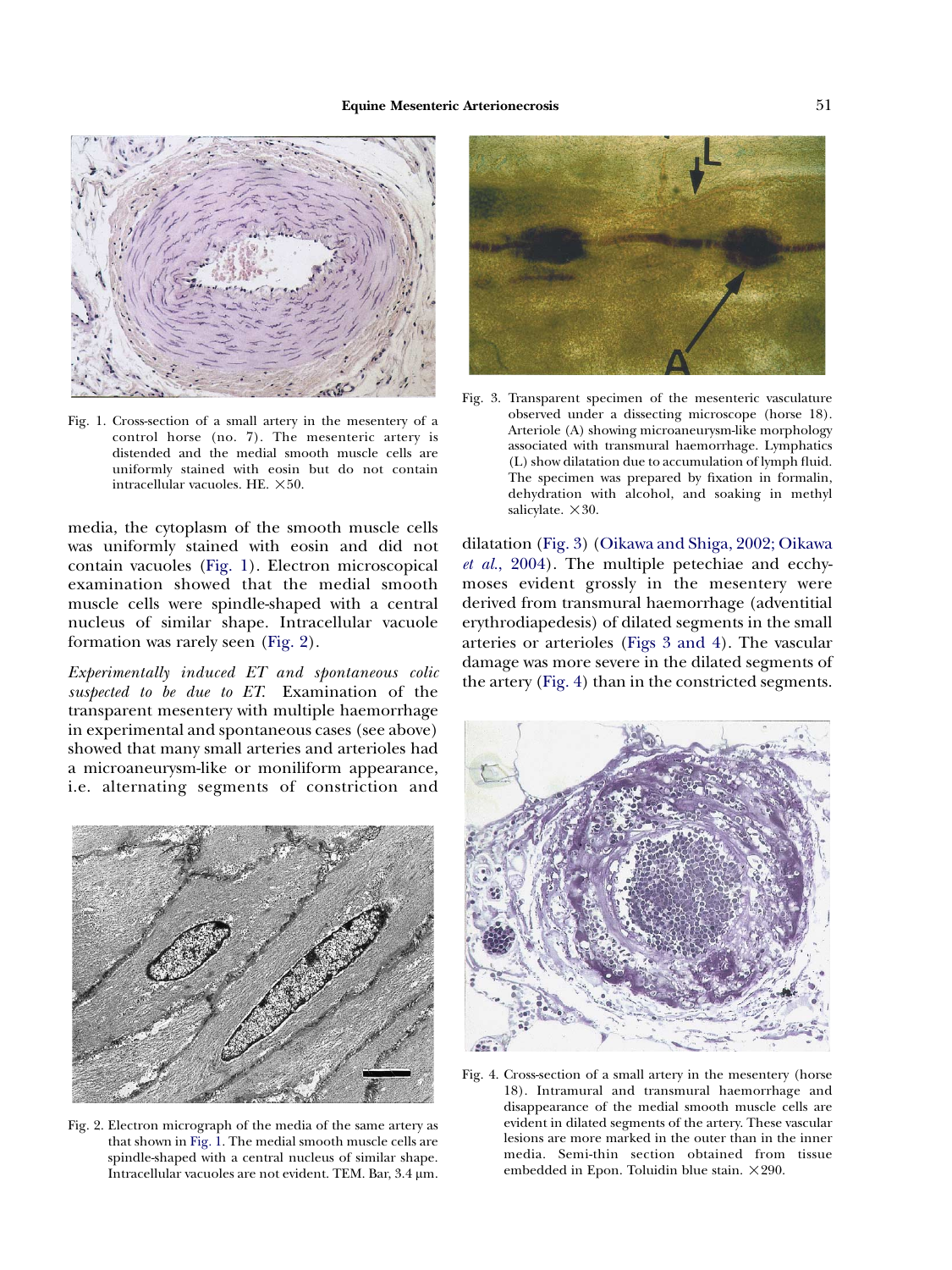<span id="page-4-0"></span>

Fig. 1. Cross-section of a small artery in the mesentery of a control horse (no. 7). The mesenteric artery is distended and the medial smooth muscle cells are uniformly stained with eosin but do not contain intracellular vacuoles. HE.  $\times 50$ .

media, the cytoplasm of the smooth muscle cells was uniformly stained with eosin and did not contain vacuoles (Fig. 1). Electron microscopical examination showed that the medial smooth muscle cells were spindle-shaped with a central nucleus of similar shape. Intracellular vacuole formation was rarely seen (Fig. 2).

Experimentally induced ET and spontaneous colic suspected to be due to ET. Examination of the transparent mesentery with multiple haemorrhage in experimental and spontaneous cases (see above) showed that many small arteries and arterioles had a microaneurysm-like or moniliform appearance, i.e. alternating segments of constriction and



Fig. 2. Electron micrograph of the media of the same artery as that shown in Fig. 1. The medial smooth muscle cells are spindle-shaped with a central nucleus of similar shape. Intracellular vacuoles are not evident. TEM. Bar, 3.4 um.



Fig. 3. Transparent specimen of the mesenteric vasculature observed under a dissecting microscope (horse 18). Arteriole (A) showing microaneurysm-like morphology associated with transmural haemorrhage. Lymphatics (L) show dilatation due to accumulation of lymph fluid. The specimen was prepared by fixation in formalin, dehydration with alcohol, and soaking in methyl salicylate.  $\times 30$ .

dilatation (Fig. 3) [\(Oikawa and Shiga, 2002; Oikawa](#page-8-0) et al.[, 2004](#page-8-0)). The multiple petechiae and ecchymoses evident grossly in the mesentery were derived from transmural haemorrhage (adventitial erythrodiapedesis) of dilated segments in the small arteries or arterioles (Figs 3 and 4). The vascular damage was more severe in the dilated segments of the artery (Fig. 4) than in the constricted segments.



Fig. 4. Cross-section of a small artery in the mesentery (horse 18). Intramural and transmural haemorrhage and disappearance of the medial smooth muscle cells are evident in dilated segments of the artery. These vascular lesions are more marked in the outer than in the inner media. Semi-thin section obtained from tissue embedded in Epon. Toluidin blue stain.  $\times 290$ .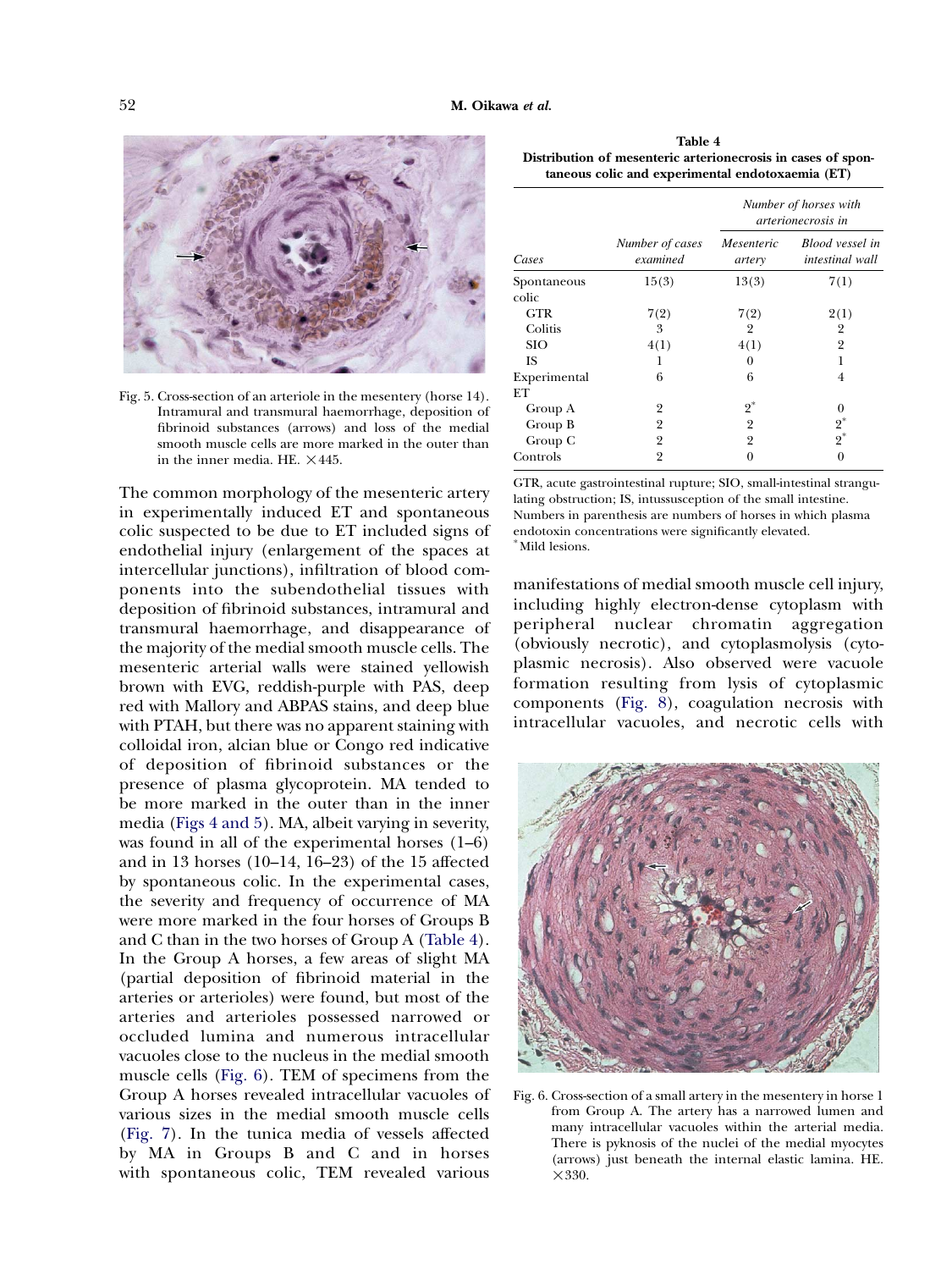<span id="page-5-0"></span>

Fig. 5. Cross-section of an arteriole in the mesentery (horse 14). Intramural and transmural haemorrhage, deposition of fibrinoid substances (arrows) and loss of the medial smooth muscle cells are more marked in the outer than in the inner media. HE.  $\times$ 445.

The common morphology of the mesenteric artery in experimentally induced ET and spontaneous colic suspected to be due to ET included signs of endothelial injury (enlargement of the spaces at intercellular junctions), infiltration of blood components into the subendothelial tissues with deposition of fibrinoid substances, intramural and transmural haemorrhage, and disappearance of the majority of the medial smooth muscle cells. The mesenteric arterial walls were stained yellowish brown with EVG, reddish-purple with PAS, deep red with Mallory and ABPAS stains, and deep blue with PTAH, but there was no apparent staining with colloidal iron, alcian blue or Congo red indicative of deposition of fibrinoid substances or the presence of plasma glycoprotein. MA tended to be more marked in the outer than in the inner media [\(Figs 4 and 5](#page-4-0)). MA, albeit varying in severity, was found in all of the experimental horses (1–6) and in 13 horses (10–14, 16–23) of the 15 affected by spontaneous colic. In the experimental cases, the severity and frequency of occurrence of MA were more marked in the four horses of Groups B and C than in the two horses of Group A (Table 4). In the Group A horses, a few areas of slight MA (partial deposition of fibrinoid material in the arteries or arterioles) were found, but most of the arteries and arterioles possessed narrowed or occluded lumina and numerous intracellular vacuoles close to the nucleus in the medial smooth muscle cells (Fig. 6). TEM of specimens from the Group A horses revealed intracellular vacuoles of various sizes in the medial smooth muscle cells [\(Fig. 7\)](#page-6-0). In the tunica media of vessels affected by MA in Groups B and C and in horses with spontaneous colic, TEM revealed various

Table 4 Distribution of mesenteric arterionecrosis in cases of spontaneous colic and experimental endotoxaemia (ET)

|                      |                             | Number of horses with<br><i>arterionecrosis in</i> |                                    |  |
|----------------------|-----------------------------|----------------------------------------------------|------------------------------------|--|
| Cases                | Number of cases<br>examined | Mesenteric<br>artery                               | Blood vessel in<br>intestinal wall |  |
| Spontaneous<br>colic | 15(3)                       | 13(3)                                              | 7(1)                               |  |
| <b>GTR</b>           | 7(2)                        | 7(2)                                               | 2(1)                               |  |
| Colitis              | 3                           | $\overline{2}$                                     | 2                                  |  |
| <b>SIO</b>           | 4(1)                        | 4(1)                                               | $\overline{2}$                     |  |
| <b>IS</b>            | 1                           | 0                                                  | 1                                  |  |
| Experimental         | 6                           | 6                                                  | 4                                  |  |
| ET                   |                             |                                                    |                                    |  |
| Group A              | 2                           | $2^*$                                              | 0                                  |  |
| Group B              | $\overline{2}$              | $\overline{2}$                                     | $\frac{2}{2}^*$                    |  |
| Group C              | $\overline{2}$              | $\overline{2}$                                     |                                    |  |
| Controls             | 2                           | 0                                                  | 0                                  |  |

GTR, acute gastrointestinal rupture; SIO, small-intestinal strangulating obstruction; IS, intussusception of the small intestine. Numbers in parenthesis are numbers of horses in which plasma endotoxin concentrations were significantly elevated. \*Mild lesions.

manifestations of medial smooth muscle cell injury, including highly electron-dense cytoplasm with peripheral nuclear chromatin aggregation (obviously necrotic), and cytoplasmolysis (cytoplasmic necrosis). Also observed were vacuole formation resulting from lysis of cytoplasmic components ([Fig. 8](#page-6-0)), coagulation necrosis with intracellular vacuoles, and necrotic cells with



Fig. 6. Cross-section of a small artery in the mesentery in horse 1 from Group A. The artery has a narrowed lumen and many intracellular vacuoles within the arterial media. There is pyknosis of the nuclei of the medial myocytes (arrows) just beneath the internal elastic lamina. HE.  $\times$  330.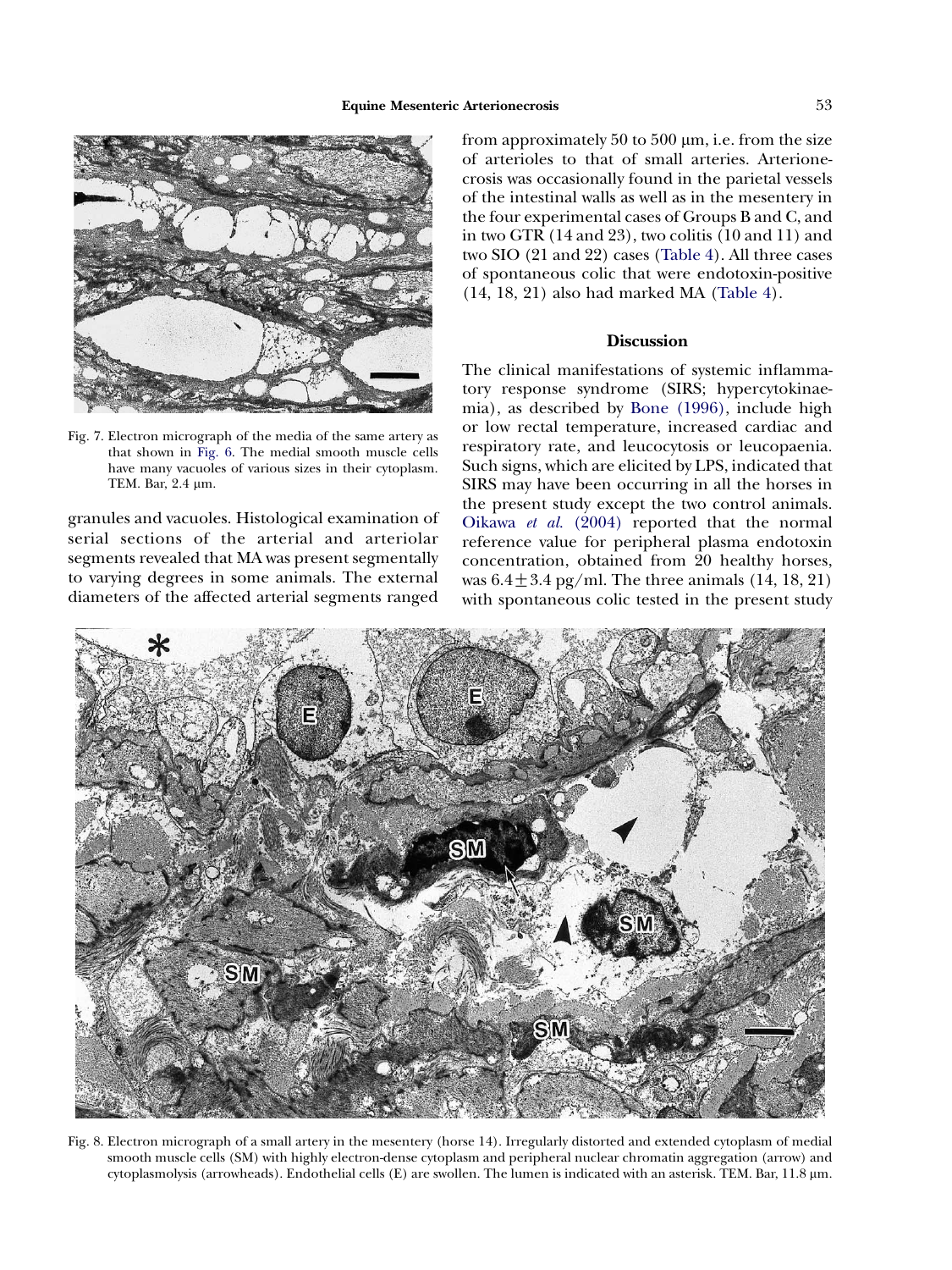<span id="page-6-0"></span>

Fig. 7. Electron micrograph of the media of the same artery as that shown in [Fig. 6.](#page-5-0) The medial smooth muscle cells have many vacuoles of various sizes in their cytoplasm. TEM. Bar, 2.4 µm.

granules and vacuoles. Histological examination of serial sections of the arterial and arteriolar segments revealed that MA was present segmentally to varying degrees in some animals. The external diameters of the affected arterial segments ranged from approximately 50 to 500  $\mu$ m, i.e. from the size of arterioles to that of small arteries. Arterionecrosis was occasionally found in the parietal vessels of the intestinal walls as well as in the mesentery in the four experimental cases of Groups B and C, and in two GTR (14 and 23), two colitis (10 and 11) and two SIO (21 and 22) cases [\(Table 4](#page-5-0)). All three cases of spontaneous colic that were endotoxin-positive (14, 18, 21) also had marked MA ([Table 4](#page-5-0)).

# Discussion

The clinical manifestations of systemic inflammatory response syndrome (SIRS; hypercytokinaemia), as described by [Bone \(1996\),](#page-7-0) include high or low rectal temperature, increased cardiac and respiratory rate, and leucocytosis or leucopaenia. Such signs, which are elicited by LPS, indicated that SIRS may have been occurring in all the horses in the present study except the two control animals. [Oikawa](#page-8-0) et al. (2004) reported that the normal reference value for peripheral plasma endotoxin concentration, obtained from 20 healthy horses, was  $6.4 \pm 3.4$  pg/ml. The three animals (14, 18, 21) with spontaneous colic tested in the present study



Fig. 8. Electron micrograph of a small artery in the mesentery (horse 14). Irregularly distorted and extended cytoplasm of medial smooth muscle cells (SM) with highly electron-dense cytoplasm and peripheral nuclear chromatin aggregation (arrow) and cytoplasmolysis (arrowheads). Endothelial cells (E) are swollen. The lumen is indicated with an asterisk. TEM. Bar, 11.8 mm.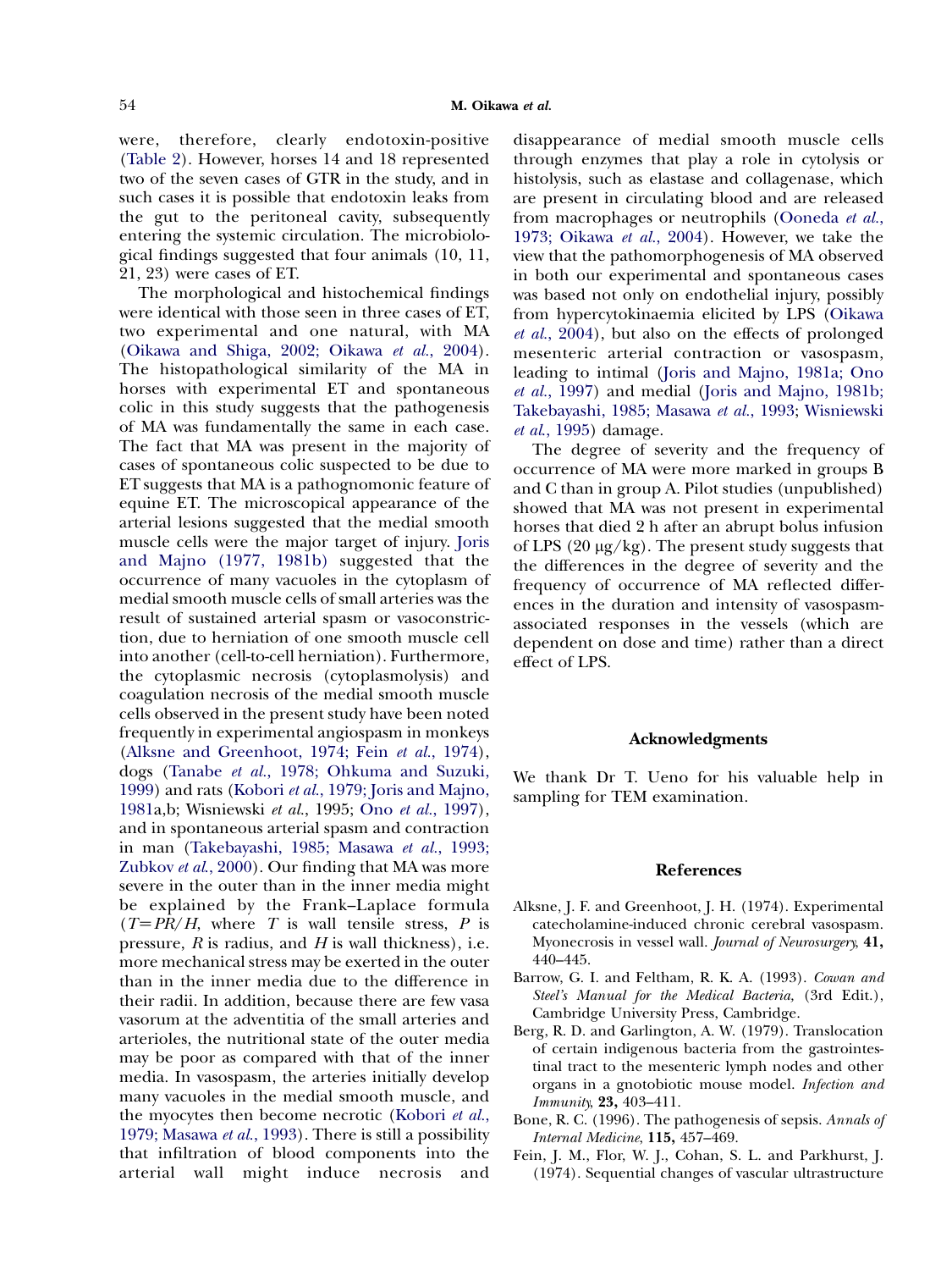<span id="page-7-0"></span>were, therefore, clearly endotoxin-positive [\(Table 2](#page-2-0)). However, horses 14 and 18 represented two of the seven cases of GTR in the study, and in such cases it is possible that endotoxin leaks from the gut to the peritoneal cavity, subsequently entering the systemic circulation. The microbiological findings suggested that four animals (10, 11, 21, 23) were cases of ET.

The morphological and histochemical findings were identical with those seen in three cases of ET, two experimental and one natural, with MA [\(Oikawa and Shiga, 2002; Oikawa](#page-8-0) et al., 2004). The histopathological similarity of the MA in horses with experimental ET and spontaneous colic in this study suggests that the pathogenesis of MA was fundamentally the same in each case. The fact that MA was present in the majority of cases of spontaneous colic suspected to be due to ET suggests that MA is a pathognomonic feature of equine ET. The microscopical appearance of the arterial lesions suggested that the medial smooth muscle cells were the major target of injury. [Joris](#page-8-0) [and Majno \(1977, 1981b\)](#page-8-0) suggested that the occurrence of many vacuoles in the cytoplasm of medial smooth muscle cells of small arteries was the result of sustained arterial spasm or vasoconstriction, due to herniation of one smooth muscle cell into another (cell-to-cell herniation). Furthermore, the cytoplasmic necrosis (cytoplasmolysis) and coagulation necrosis of the medial smooth muscle cells observed in the present study have been noted frequently in experimental angiospasm in monkeys (Alksne and Greenhoot, 1974; Fein et al., 1974), dogs (Tanabe et al.[, 1978; Ohkuma and Suzuki,](#page-8-0) [1999](#page-8-0)) and rats (Kobori et al.[, 1979; Joris and Majno,](#page-8-0) [1981](#page-8-0)a,b; Wisniewski et al., 1995; Ono et al.[, 1997\)](#page-8-0), and in spontaneous arterial spasm and contraction in man [\(Takebayashi, 1985; Masawa](#page-8-0) et al., 1993; [Zubkov](#page-8-0) *et al.*, 2000). Our finding that MA was more severe in the outer than in the inner media might be explained by the Frank–Laplace formula  $(T=PR/H,$  where T is wall tensile stress, P is pressure,  $R$  is radius, and  $H$  is wall thickness), i.e. more mechanical stress may be exerted in the outer than in the inner media due to the difference in their radii. In addition, because there are few vasa vasorum at the adventitia of the small arteries and arterioles, the nutritional state of the outer media may be poor as compared with that of the inner media. In vasospasm, the arteries initially develop many vacuoles in the medial smooth muscle, and the myocytes then become necrotic [\(Kobori](#page-8-0) et al., [1979; Masawa](#page-8-0) et al., 1993). There is still a possibility that infiltration of blood components into the arterial wall might induce necrosis and disappearance of medial smooth muscle cells through enzymes that play a role in cytolysis or histolysis, such as elastase and collagenase, which are present in circulating blood and are released from macrophages or neutrophils ([Ooneda](#page-8-0) et al., [1973; Oikawa](#page-8-0) et al., 2004). However, we take the view that the pathomorphogenesis of MA observed in both our experimental and spontaneous cases was based not only on endothelial injury, possibly from hypercytokinaemia elicited by LPS [\(Oikawa](#page-8-0) et al.[, 2004](#page-8-0)), but also on the effects of prolonged mesenteric arterial contraction or vasospasm, leading to intimal ([Joris and Majno, 1981a; Ono](#page-8-0) et al.[, 1997](#page-8-0)) and medial ([Joris and Majno, 1981b;](#page-8-0) [Takebayashi, 1985; Masawa](#page-8-0) et al., 1993; [Wisniewski](#page-8-0) et al[., 1995](#page-8-0)) damage.

The degree of severity and the frequency of occurrence of MA were more marked in groups B and C than in group A. Pilot studies (unpublished) showed that MA was not present in experimental horses that died 2 h after an abrupt bolus infusion of LPS  $(20 \mu g/kg)$ . The present study suggests that the differences in the degree of severity and the frequency of occurrence of MA reflected differences in the duration and intensity of vasospasmassociated responses in the vessels (which are dependent on dose and time) rather than a direct effect of LPS.

## Acknowledgments

We thank Dr T. Ueno for his valuable help in sampling for TEM examination.

#### References

- Alksne, J. F. and Greenhoot, J. H. (1974). Experimental catecholamine-induced chronic cerebral vasospasm. Myonecrosis in vessel wall. Journal of Neurosurgery, 41, 440–445.
- Barrow, G. I. and Feltham, R. K. A. (1993). Cowan and Steel's Manual for the Medical Bacteria, (3rd Edit.), Cambridge University Press, Cambridge.
- Berg, R. D. and Garlington, A. W. (1979). Translocation of certain indigenous bacteria from the gastrointestinal tract to the mesenteric lymph nodes and other organs in a gnotobiotic mouse model. Infection and Immunity, 23, 403–411.
- Bone, R. C. (1996). The pathogenesis of sepsis. Annals of Internal Medicine, 115, 457–469.
- Fein, J. M., Flor, W. J., Cohan, S. L. and Parkhurst, J. (1974). Sequential changes of vascular ultrastructure